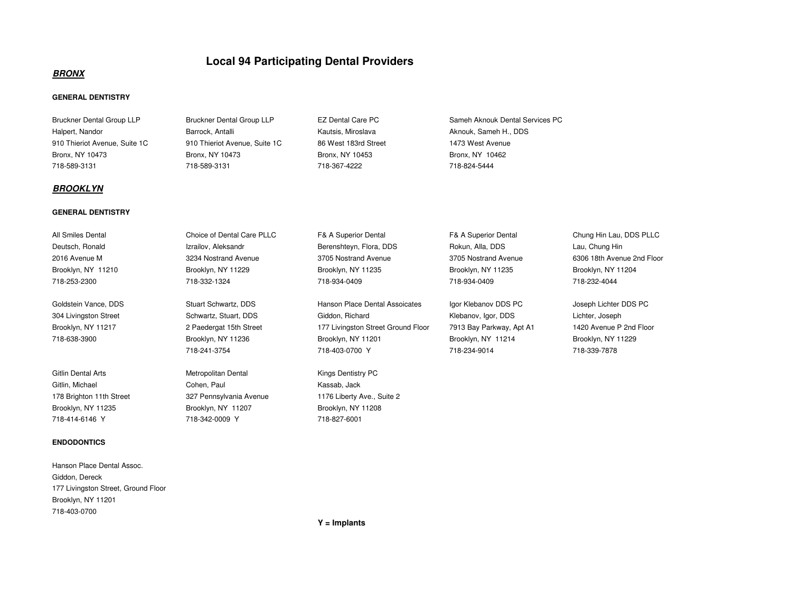# **Local 94 Participating Dental Providers**

# **BRONX**

# **GENERAL DENTISTRY**

Halpert, Nandor **Barrock, Antalli** Barrock, Antalli Kautsis, Miroslava **Aknouk, Sameh H., DDS** 910 Thieriot Avenue, Suite 1C 910 Thieriot Avenue, Suite 1C 86 West 183rd Street 1473 West AvenueBronx, NY 10473 Bronx, NY 10473 Bronx, NY 10453 Bronx, NY 10462

## **BROOKLYN**

## **GENERAL DENTISTRY**

| All Smiles Dental  |  |  |
|--------------------|--|--|
| Deutsch, Ronald    |  |  |
| 2016 Avenue M      |  |  |
| Brooklyn, NY 11210 |  |  |
| 718-253-2300       |  |  |

#### **ENDODONTICS**

Hanson Place Dental Assoc.Giddon, Dereck 177 Livingston Street, Ground FloorBrooklyn, NY 11201718-403-0700

Bruckner Dental Group LLP Bruckner Dental Group LLP EZ Dental Care PC Sameh Aknouk Dental Services PC

718-589-3131 718-589-3131 718-367-4222 718-824-5444

Bronx, NY 10462

All Smiles Dental Choice of Dental Care PLLC F& A Superior Dental F& A Superior Dental Chung Hin Lau, DDS PLLCIzrailov, Aleksandr **Berenshteyn, Flora, DDS** Rokun, Alla, DDS Lau, Chung Hin 3234 Nostrand Avenue 3705 Nostrand Avenue Brooklyn, NY 11229 Brooklyn, NY 11235 Brooklyn, NY 11204 Brooklyn, NY 11204 718-253-2300 718-332-1324 718-934-0409 718-934-0409 718-232-4044

Gitlin Dental Arts **Metropolitan Dental Metropolitan Dental** Kings Dentistry PC Gitlin, Michael Cohen, Paul Kassab, Jack178 Brighton 11th Street 327 Pennsylvania Avenue Brooklyn, NY 11235 Brooklyn, NY 11207 Brooklyn, NY 11208718-414-6146 Y 718-342-0009 Y 718-827-6001

Goldstein Vance, DDS Stuart Schwartz, DDS Hanson Place Dental Assoicates Igor Klebanov DDS PC Joseph Lichter DDS PC 304 Livingston Street Schwartz, Stuart, DDS Giddon, Richard Klebanov, Igor, DDS Lichter, JosephBrooklyn, NY 11217 2 Paedergat 15th Street 177 Livingston Street Ground Floor 7913 Bay Parkway, Apt A1 718-638-3900 Brooklyn, NY 11236 Brooklyn, NY 11201 Brooklyn, NY 11214 Brooklyn, NY 11229718-241-3754 718-403-0700 Y 718-234-9014 718-339-7878

1176 Liberty Ave., Suite 2

3705 Nostrand Avenue 6306 18th Avenue 2nd Floor

1420 Avenue P 2nd Floor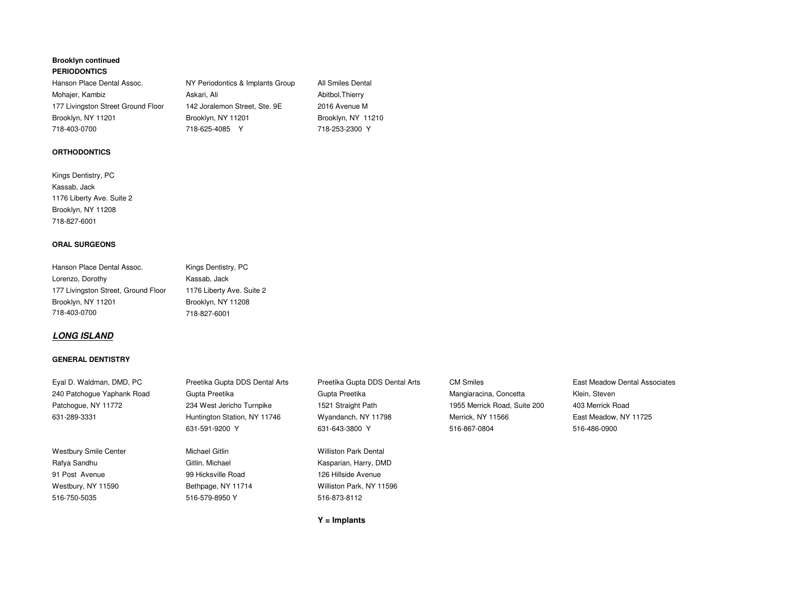# **Brooklyn continued PERIODONTICS**

Hanson Place Dental Assoc. Brooklyn, NY 11201 Brooklyn, NY 11201

NY Periodontics & Implants Group All Smiles Dental Mohajer, Kambiz **Askari, Ali** Abitbol,Thierry Abitbol,Thierry 177 Livingston Street Ground Floor 142 Joralemon Street, Ste. 9E 2016 Avenue M Brooklyn, NY 11210 718-403-0700 718-625-4085 Y 718-253-2300 Y

# **ORTHODONTICS**

Kings Dentistry, PCKassab, Jack 1176 Liberty Ave. Suite 2Brooklyn, NY 11208718-827-6001

# **ORAL SURGEONS**

| Hanson Place Dental Assoc.          | Kings Dentistry, PC       |
|-------------------------------------|---------------------------|
| Lorenzo, Dorothy                    | Kassab, Jack              |
| 177 Livingston Street, Ground Floor | 1176 Liberty Ave. Suite 2 |
| Brooklyn, NY 11201                  | Brooklyn, NY 11208        |
| 718-403-0700                        | 718-827-6001              |

# **LONG ISLAND**

# **GENERAL DENTISTRY**

| Eyal D. Waldman, DMD, PC     | Preetika Gupta DDS Dental Arts | Preetika Gupta DDS Dental Arts | <b>CM Smiles</b>             | East Meadow Dental Associates |
|------------------------------|--------------------------------|--------------------------------|------------------------------|-------------------------------|
| 240 Patchogue Yaphank Road   | Gupta Preetika                 | Gupta Preetika                 | Mangiaracina, Concetta       | Klein, Steven                 |
| Patchogue, NY 11772          | 234 West Jericho Turnpike      | 1521 Straight Path             | 1955 Merrick Road, Suite 200 | 403 Merrick Road              |
| 631-289-3331                 | Huntington Station, NY 11746   | Wyandanch, NY 11798            | Merrick, NY 11566            | East Meadow. NY 11725         |
|                              | 631-591-9200 Y                 | 631-643-3800 Y                 | 516-867-0804                 | 516-486-0900                  |
| <b>Westbury Smile Center</b> | Michael Gitlin                 | <b>Williston Park Dental</b>   |                              |                               |
| Rafya Sandhu                 | Gitlin, Michael                | Kasparian, Harry, DMD          |                              |                               |
| 91 Post Avenue               | 99 Hicksville Road             | 126 Hillside Avenue            |                              |                               |
| Westbury, NY 11590           | Bethpage, NY 11714             | Williston Park, NY 11596       |                              |                               |
| 516-750-5035                 | 516-579-8950 Y                 | 516-873-8112                   |                              |                               |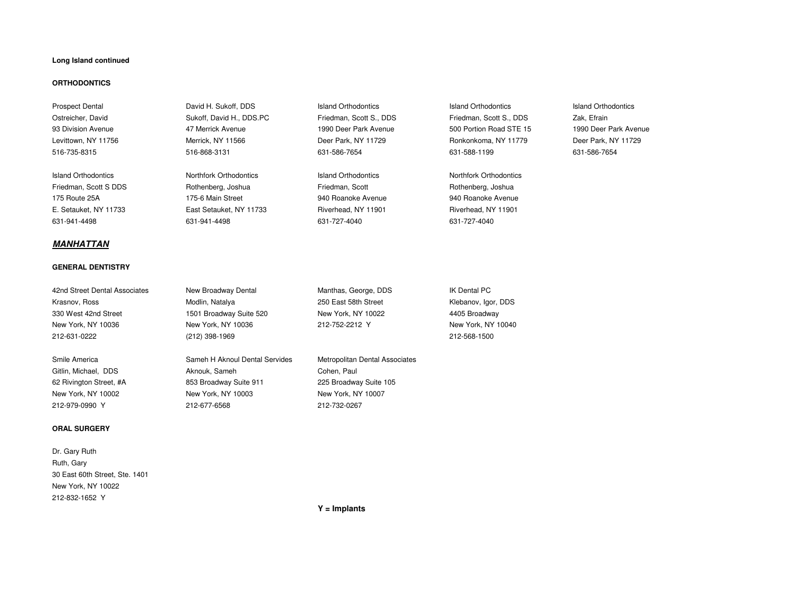#### **Long Island continued**

#### **ORTHODONTICS**

# **MANHATTAN**

#### **GENERAL DENTISTRY**

42nd Street Dental Associates New Broadway Dental Manthas, George, DDS IK Dental PC Krasnov, Ross **Modlin, Natalya** 250 East 58th Street 330 West 42nd Street 1501 Broadway Suite 520 New York, NY 10022 4405 BroadwayNew York, NY 10036 New York, NY 10036 212-752-2212 Y

#### **ORAL SURGERY**

Dr. Gary RuthRuth, Gary30 East 60th Street, Ste. 1401New York, NY 10022212-832-1652 Y

Prospect Dental **Sukoff, DDS** Island Orthodontics **Island Orthodontics** Island Orthodontics Island Orthodontics Island Orthodontics

Island Orthodontics Northfork Orthodontics Island Orthodontics Northfork Orthodontics Friedman, Scott S DDS Rothenberg, Joshua Friedman, Scott Rothenberg, Joshua 175 Route 25A 175-6 Main Street 940 Roanoke Avenue 940 Roanoke AvenueE. Setauket, NY 11733 East Setauket, NY 11733 Riverhead, NY 11901 Riverhead, NY 11901631-941-4498 631-941-4498 631-727-4040 631-727-4040

516-735-8315 516-868-3131 631-586-7654 631-588-1199 631-586-7654

Ostreicher, David **Sukoff, David H., DDS.PC** Friedman, Scott S., DDS Friedman, Scott S., DDS Zak, Efrain 93 Division Avenue 47 Merrick Avenue 1990 Deer Park Avenue 500 Portion Road STE 15 1990 Deer Park AvenueLevittown, NY 11756 Merrick, NY 11566 Deer Park, NY 11729 Ronkonkoma, NY 11779 Deer Park, NY 11729

1990 Deer Park Avenue

212-631-0222 (212) 398-1969 212-568-1500

Smile America **Sameh H Aknoul Dental Servides** Metropolitan Dental Associates Metropolitan Dental Associates Gitlin, Michael, DDS **Aknouk, Sameh Cohen, Paul** Cohen, Paul 62 Rivington Street, #A 853 Broadway Suite 911 225 Broadway Suite 105 New York, NY 10002 New York, NY 10003 New York, NY 10007212-979-0990 Y 212-677-6568 212-732-0267

Klebanov, Igor, DDS New York, NY 10040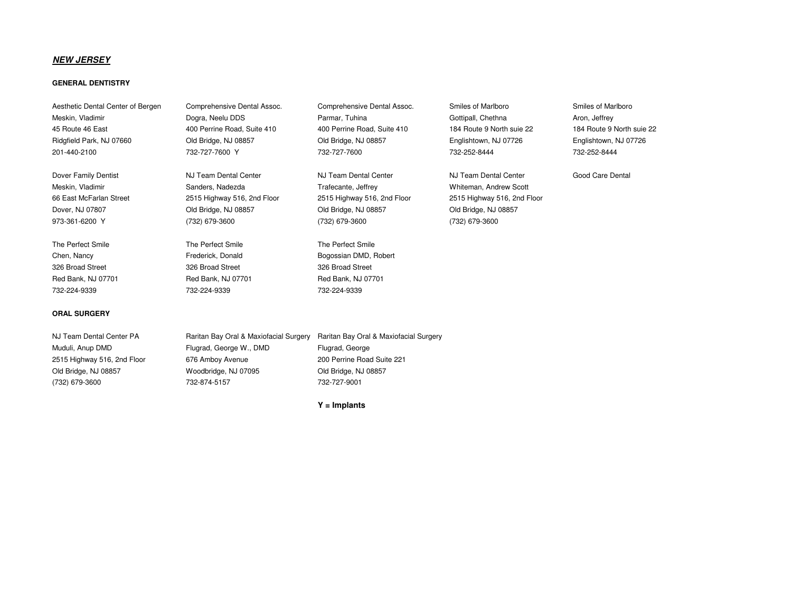# **NEW JERSEY**

## **GENERAL DENTISTRY**

Meskin, Vladimir Dogra, Neelu DDS Parmar, Tuhina Gottipall, Chethna Aron, Jeffrey 45 Route 46 East 400 Perrine Road, Suite 410 400 Perrine Road, Suite 410 184 Route 9 North suie 22 184 Route 9 North suie 22 Ridgfield Park, NJ 07660 Old Bridge, NJ 08857 Old Bridge, NJ 08857 Englishtown, NJ 07726 Englishtown, NJ 07726 201-440-2100 732-727-7600 Y 732-727-7600 732-252-8444 732-252-8444

The Perfect Smile The Perfect Smile The Perfect Smile The Perfect Smile 326 Broad Street 326 Broad Street 326 Broad Street Red Bank, NJ 07701 **Red Bank, NJ 07701** Red Bank, NJ 07701 732-224-9339 732-224-9339 732-224-9339

#### **ORAL SURGERY**

Aesthetic Dental Center of Bergen Comprehensive Dental Assoc. Comprehensive Dental Assoc. Smiles of Marlboro Smiles of Marlboro

973-361-6200 Y (732) 679-3600 (732) 679-3600 (732) 679-3600

Meskin, Vladimir **Meskin, Vladimir** Sanders, Nadezda **New Scott Cases** Trafecante, Jeffrey Whiteman, Andrew Scott 66 East McFarlan Street 2515 Highway 516, 2nd Floor 2515 Highway 516, 2nd Floor 2515 Highway 516, 2nd FloorDover, NJ 07807 Old Bridge, NJ 08857 Old Bridge, NJ 08857 Old Bridge, NJ 08857

Chen, Nancy **Example 20 Frederick, Donald Bogossian DMD, Robert** 

Dover Family Dentist **NJ Team Dental Center** NJ Team Dental Center NJ Team Dental Center All Team Dental Center Cood Care Dental



NJ Team Dental Center PA Raritan Bay Oral & Maxiofacial Surgery Raritan Bay Oral & Maxiofacial SurgeryMuduli, Anup DMD Flugrad, George W., DMD Flugrad, George200 Perrine Road Suite 221 2515 Highway 516, 2nd Floor 676 Amboy Avenue Old Bridge, NJ 08857 Woodbridge, NJ 07095 Old Bridge, NJ 08857(732) 679-3600 732-874-5157 732-727-9001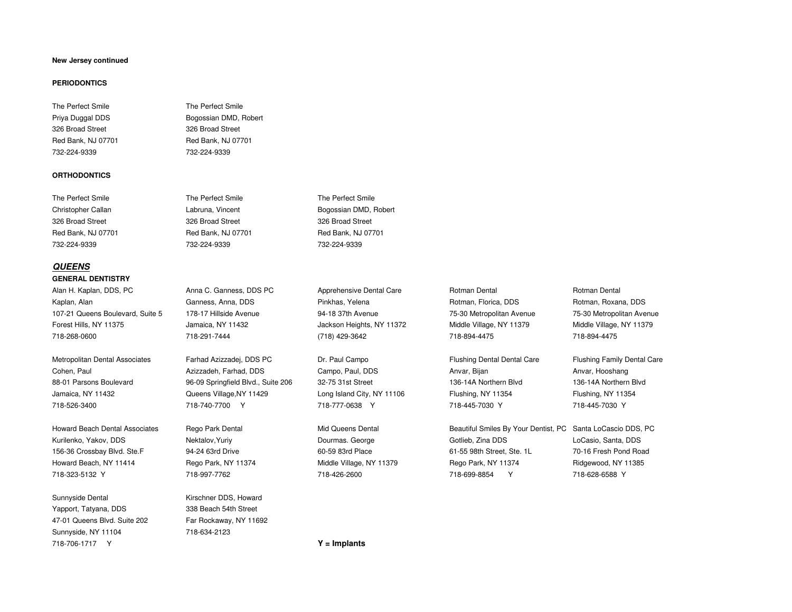#### **New Jersey continued**

#### **PERIODONTICS**

# The Perfect Smile **The Perfect Smile** 326 Broad Street 326 Broad Street

#### **ORTHODONTICS**

# **QUEENS**

#### **GENERAL DENTISTRY**

Alan H. Kaplan, DDS, PC **Anna C. Ganness, DDS PC** Apprehensive Dental Care Rotman Dental Care Rotman Dental Rotman Dental Kaplan, Alan Ganness, Anna, DDS Pinkhas, Yelena Rotman, Florica, DDS Rotman, Porman, Roxana, DDS Rotman, Roxana, DDS 107-21 Queens Boulevard, Suite 5 178-17 Hillside AvenueForest Hills, NY 11375 Jamaica, NY 11432 Jackson Heights, NY 11372 Middle Village, NY 11379 Middle Village, NY 11379

156-36 Crossbay Blvd. Ste.F 94-24 63rd Drive 60-59 83rd Place 60-59 83rd Place 61-55 98th Street, Ste. 1L Howard Beach, NY 11414 Rego Park, NY 11374 Middle Village, NY 11379 Rego Park, NY 11374

Sunnyside Dental Kirschner DDS, Howard Yapport, Tatyana, DDS 47-01 Queens Blvd. Suite 202 Far Rockaway, NY 11692Sunnyside, NY 11104 718-634-2123 718-706-1717 Y

Priya Duggal DDS Bogossian DMD, Robert Red Bank, NJ 07701 Red Bank, NJ 07701 732-224-9339 732-224-9339

The Perfect Smile The Perfect Smile The Perfect SmileChristopher Callan **Labruna, Vincent Callan** Bogossian DMD, Robert **Christopher Callan** 326 Broad Street 326 Broad Street 326 Broad Street Red Bank, NJ 07701 Red Bank, NJ 07701 Red Bank, NJ 07701732-224-9339 732-224-9339 732-224-9339

Metropolitan Dental Associates Farhad Azizzadej, DDS PC Dr. Paul Campo Flushing Dental Dental Care Flushing Family Dental Care Cohen, Paul **Azizzadeh, Farhad, DDS** Campo, Paul, DDS Anvar, Bijan Anvar, Bijan Anvar, Hooshang 88-01 Parsons Boulevard 96-09 Springfield Blvd., Suite 206 32-75 31st Street 136-14A Northern Blvd 136-14A Northern BlvdJamaica, NY 11432 **Cueens Village,NY 11429** Long Island City, NY 11106 Flushing, NY 11354 Flushing, NY 11354 718-526-3400 718-740-7700 Y 718-777-0638 Y 718-445-7030 Y 718-445-7030 Y

338 Beach 54th Street

 94-18 37th Avenue 75-30 Metropolitan Avenue 75-30 Metropolitan Avenue 718-268-0600 718-291-7444 (718) 429-3642 718-894-4475 718-894-4475

75-30 Metropolitan Avenue

136-14A Northern Blvd

Howard Beach Dental Associates Rego Park Dental Mid Queens Dental Beautiful Smiles By Your Dentist, PC Santa LoCascio DDS, PC Kurilenko, Yakov, DDS **Nektalov, Yuriy Dourmas. George** Gotlieb, Zina DDS LoCasio, Santa, DDS LoCasio, Santa, DDS 70-16 Fresh Pond Road Ridgewood, NY 11385 718-323-5132 Y 718-997-7762 718-426-2600 718-699-8854 Y 718-628-6588 Y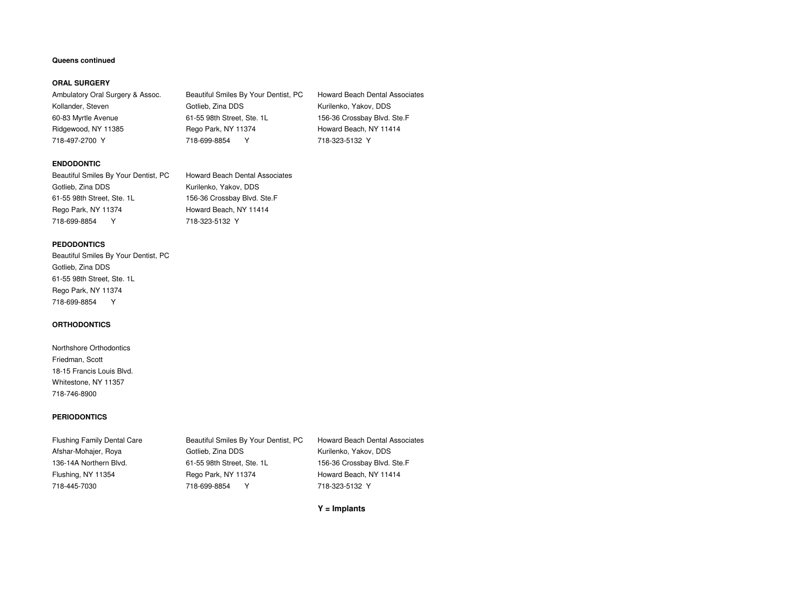#### **Queens continued**

#### **ORAL SURGERY**

Ambulatory Oral Surgery & Assoc. Kollander, Steven Gotlieb, Zina DDS Kurilenko, Yakov, DDS 60-83 Myrtle Avenue 61-55 98th Street, Ste. 1L 156-36 Crossbay Blvd. Ste.FRidgewood, NY 11385 Rego Park, NY 11374 Howard Beach, NY 11414 718-497-2700 Y 718-699-8854 Y 718-323-5132 Y

Beautiful Smiles By Your Dentist, PC Howard Beach Dental Associates

#### **ENDODONTIC**

| Beautiful Smiles By Your Dentist, PC | <b>Howard Beach Dental Associates</b> |
|--------------------------------------|---------------------------------------|
| Gotlieb, Zina DDS                    | Kurilenko, Yakov, DDS                 |
| 61-55 98th Street, Ste. 1L           | 156-36 Crossbay Blvd. Ste.F           |
| Rego Park, NY 11374                  | Howard Beach, NY 11414                |
| 718-699-8854                         | 718-323-5132 Y                        |

#### **PEDODONTICS**

 Beautiful Smiles By Your Dentist, PCGotlieb, Zina DDS 61-55 98th Street, Ste. 1LRego Park, NY 11374718-699-8854 Y

#### **ORTHODONTICS**

Northshore OrthodonticsFriedman, Scott18-15 Francis Louis Blvd.Whitestone, NY 11357718-746-8900

#### **PERIODONTICS**

Flushing Family Dental Care Beautiful Smiles By Your Dentist, PC Howard Beach Dental AssociatesAfshar-Mohajer, Roya Gotlieb, Zina DDS Kurilenko, Yakov, DDS 136-14A Northern Blvd. 61-55 98th Street, Ste. 1L 156-36 Crossbay Blvd. Ste.FFlushing, NY 11354 Rego Park, NY 11374 Howard Beach, NY 11414 718-445-7030 718-699-8854 Y 718-323-5132 Y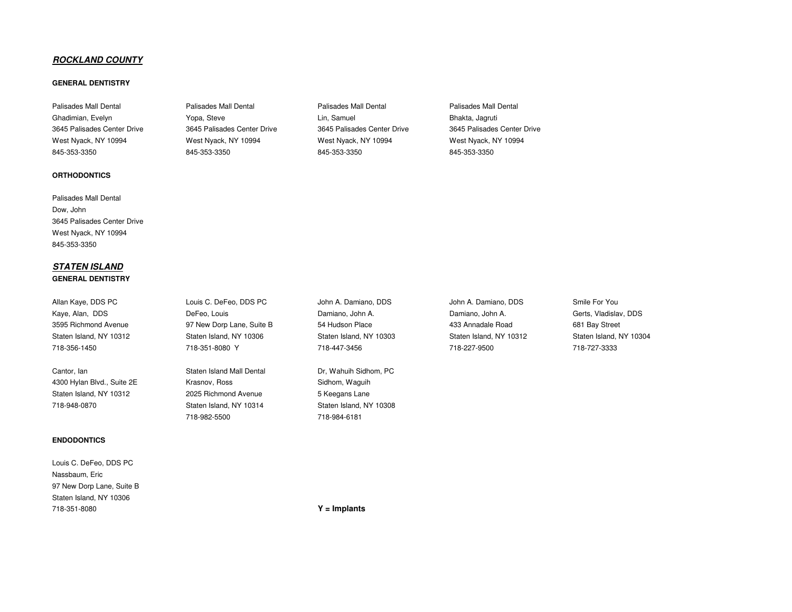# **ROCKLAND COUNTY**

## **GENERAL DENTISTRY**

845-353-3350 845-353-3350 845-353-3350 845-353-3350

#### **ORTHODONTICS**

Palisades Mall Dental Dow, John 3645 Palisades Center Drive West Nyack, NY 10994845-353-3350

# **STATEN ISLANDGENERAL DENTISTRY**

Cantor, Ian **Cantor, Ian Staten Island Mall Dental** Dr, Wahuih Sidhom, PC 4300 Hylan Blvd., Suite 2E Krasnov, Ross Sidhom, Waguih Staten Island, NY 10312 2025 Richmond Avenue 718-948-0870 Staten Island, NY 10314

#### **ENDODONTICS**

| Louis C. DeFeo. DDS PC    |
|---------------------------|
| Nassbaum, Eric            |
| 97 New Dorp Lane, Suite B |
| Staten Island, NY 10306   |
| 718-351-8080              |

Ghadimian, Evelyn **Changimian, Evelyn Steve Changian** Yopa, Steve Lin, Samuel Bhakta, Lagruti Bhakta, Jagruti 3645 Palisades Center Drive 3645 Palisades Center Drive 3645 Palisades Center Drive 3645 Palisades Center Drive West Nyack, NY 10994 West Nyack, NY 10994 West Nyack, NY 10994 West Nyack, NY 10994

Palisades Mall Dental Palisades Mall Dental Palisades Mall Dental Palisades Mall Dental

Allan Kaye, DDS PC Louis C. DeFeo, DDS PC John A. Damiano, DDS John A. Damiano, DDS Smile For You Kaye, Alan, DDS DeFeo, Louis Damiano, John A. Damiano, John A. Gerts, Vladislav, DDS3595 Richmond Avenue 97 New Dorp Lane, Suite B 54 Hudson Place 433 Annadale Road 681 Bay Street Staten Island, NY 10312 Staten Island, NY 10306 Staten Island, NY 10303 Staten Island, NY 10312 Staten Island, NY 10304

718-982-5500 718-984-6181

718-356-1450 718-351-8080 Y 718-447-3456 718-227-9500 718-727-3333

5 Keegans Lane Staten Island, NY 10308

718-351-8080 **Y = Implants**